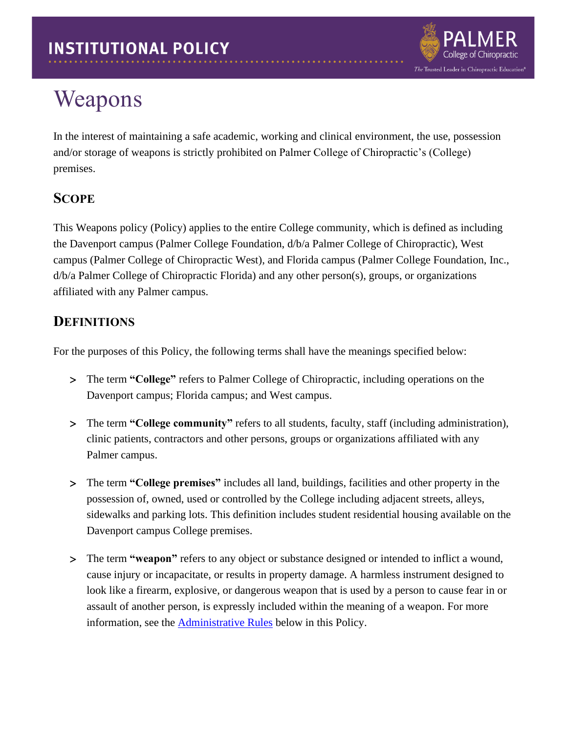

## Weapons

In the interest of maintaining a safe academic, working and clinical environment, the use, possession and/or storage of weapons is strictly prohibited on Palmer College of Chiropractic's (College) premises.

## **SCOPE**

This Weapons policy (Policy) applies to the entire College community, which is defined as including the Davenport campus (Palmer College Foundation, d/b/a Palmer College of Chiropractic), West campus (Palmer College of Chiropractic West), and Florida campus (Palmer College Foundation, Inc., d/b/a Palmer College of Chiropractic Florida) and any other person(s), groups, or organizations affiliated with any Palmer campus.

## **DEFINITIONS**

For the purposes of this Policy, the following terms shall have the meanings specified below:

- The term **"College"** refers to Palmer College of Chiropractic, including operations on the Davenport campus; Florida campus; and West campus.
- The term **"College community"** refers to all students, faculty, staff (including administration), clinic patients, contractors and other persons, groups or organizations affiliated with any Palmer campus.
- The term **"College premises"** includes all land, buildings, facilities and other property in the possession of, owned, used or controlled by the College including adjacent streets, alleys, sidewalks and parking lots. This definition includes student residential housing available on the Davenport campus College premises.
- The term **"weapon"** refers to any object or substance designed or intended to inflict a wound, cause injury or incapacitate, or results in property damage. A harmless instrument designed to look like a firearm, explosive, or dangerous weapon that is used by a person to cause fear in or assault of another person, is expressly included within the meaning of a weapon. For more information, see the **Administrative Rules** below in this Policy.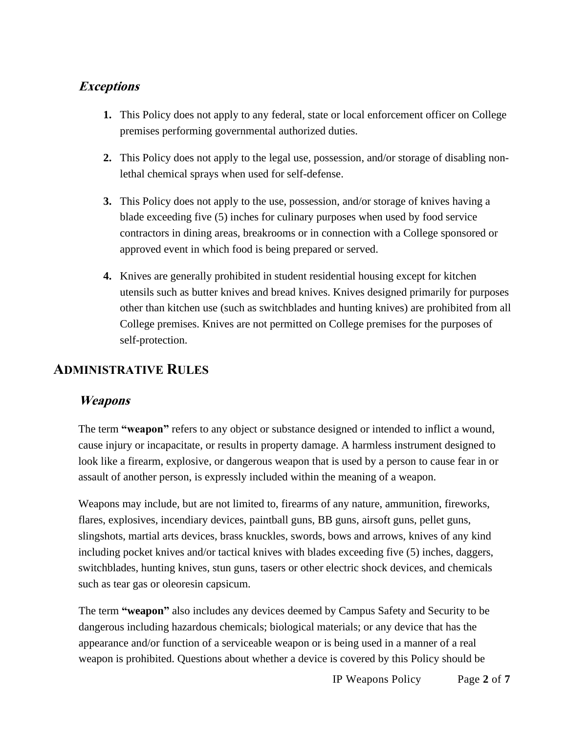#### **Exceptions**

- **1.** This Policy does not apply to any federal, state or local enforcement officer on College premises performing governmental authorized duties.
- **2.** This Policy does not apply to the legal use, possession, and/or storage of disabling nonlethal chemical sprays when used for self-defense.
- **3.** This Policy does not apply to the use, possession, and/or storage of knives having a blade exceeding five (5) inches for culinary purposes when used by food service contractors in dining areas, breakrooms or in connection with a College sponsored or approved event in which food is being prepared or served.
- **4.** Knives are generally prohibited in student residential housing except for kitchen utensils such as butter knives and bread knives. Knives designed primarily for purposes other than kitchen use (such as switchblades and hunting knives) are prohibited from all College premises. Knives are not permitted on College premises for the purposes of self-protection.

### <span id="page-1-0"></span>**ADMINISTRATIVE RULES**

#### **Weapons**

The term **"weapon"** refers to any object or substance designed or intended to inflict a wound, cause injury or incapacitate, or results in property damage. A harmless instrument designed to look like a firearm, explosive, or dangerous weapon that is used by a person to cause fear in or assault of another person, is expressly included within the meaning of a weapon.

Weapons may include, but are not limited to, firearms of any nature, ammunition, fireworks, flares, explosives, incendiary devices, paintball guns, BB guns, airsoft guns, pellet guns, slingshots, martial arts devices, brass knuckles, swords, bows and arrows, knives of any kind including pocket knives and/or tactical knives with blades exceeding five (5) inches, daggers, switchblades, hunting knives, stun guns, tasers or other electric shock devices, and chemicals such as tear gas or oleoresin capsicum.

The term **"weapon"** also includes any devices deemed by Campus Safety and Security to be dangerous including hazardous chemicals; biological materials; or any device that has the appearance and/or function of a serviceable weapon or is being used in a manner of a real weapon is prohibited. Questions about whether a device is covered by this Policy should be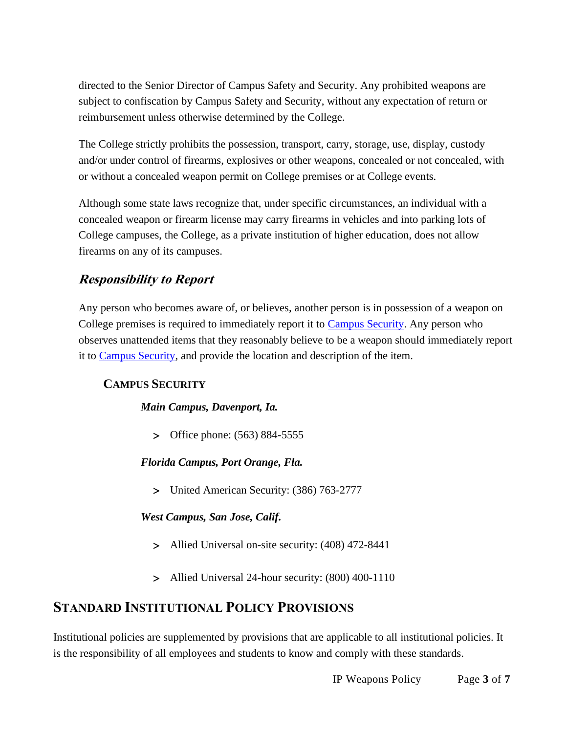directed to the Senior Director of Campus Safety and Security. Any prohibited weapons are subject to confiscation by Campus Safety and Security, without any expectation of return or reimbursement unless otherwise determined by the College.

The College strictly prohibits the possession, transport, carry, storage, use, display, custody and/or under control of firearms, explosives or other weapons, concealed or not concealed, with or without a concealed weapon permit on College premises or at College events.

Although some state laws recognize that, under specific circumstances, an individual with a concealed weapon or firearm license may carry firearms in vehicles and into parking lots of College campuses, the College, as a private institution of higher education, does not allow firearms on any of its campuses.

## **Responsibility to Report**

Any person who becomes aware of, or believes, another person is in possession of a weapon on College premises is required to immediately report it to [Campus Security.](http://www.palmer.edu/students/resources-offices/security/report-crime/) Any person who observes unattended items that they reasonably believe to be a weapon should immediately report it to [Campus Security,](http://www.palmer.edu/students/resources-offices/security/report-crime/) and provide the location and description of the item.

#### **CAMPUS SECURITY**

#### *Main Campus, Davenport, Ia.*

> Office phone: (563) 884-5555

*Florida Campus, Port Orange, Fla.*

United American Security: (386) 763-2777

#### *West Campus, San Jose, Calif.*

- Allied Universal on-site security: (408) 472-8441
- Allied Universal 24-hour security: (800) 400-1110

#### **STANDARD INSTITUTIONAL POLICY PROVISIONS**

Institutional policies are supplemented by provisions that are applicable to all institutional policies. It is the responsibility of all employees and students to know and comply with these standards.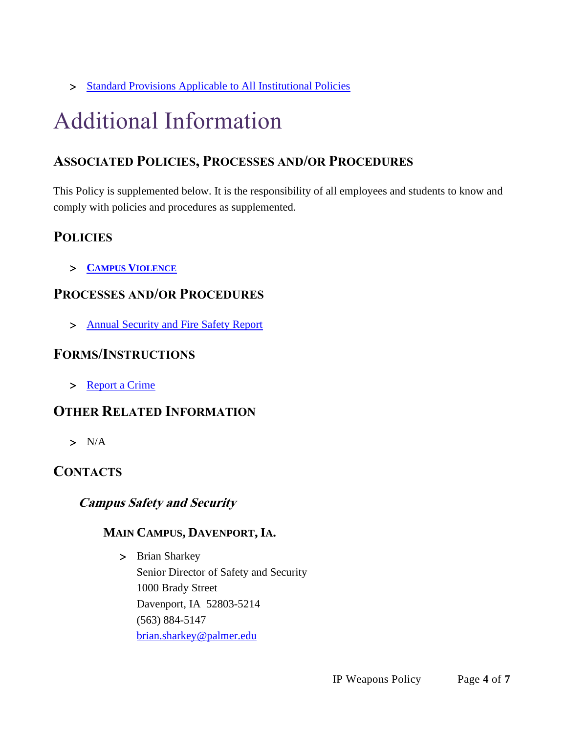> [Standard Provisions Applicable to All Institutional Policies](http://www.palmer.edu/uploadedFiles/Pages/Students/Resources_and_Offices/Handbook_and_Policies/_pdf/Standard-Provisions-Applicable-to-All-Institutional-Policies.pdf)

# Additional Information

## **ASSOCIATED POLICIES, PROCESSES AND/OR PROCEDURES**

This Policy is supplemented below. It is the responsibility of all employees and students to know and comply with policies and procedures as supplemented.

## **POLICIE[S](https://www.palmer.edu/getmedia/d3bff7a9-b903-4d9c-943b-dfbaab151476/ip-campus-violence.pdf)**

**CAMPUS V[IOLENCE](https://www.palmer.edu/getmedia/d3bff7a9-b903-4d9c-943b-dfbaab151476/ip-campus-violence.pdf)**

## **PROCESSES AND/OR PROCEDURES**

> [Annual Security and Fire Safety Report](https://www.palmer.edu/getmedia/1fc436ff-16a4-4560-b24d-03488bdae8ce/annual-security-and-fire-safety-report.pdf)

#### **FORMS/INSTRUCTIONS**

> [Report a Crime](http://www.palmer.edu/students/resources-offices/security/report-crime/)

## **OTHER RELATED INFORMATION**

 $> N/A$ 

#### **CONTACTS**

#### **Campus Safety and Security**

#### **MAIN CAMPUS, DAVENPORT, IA.**

> Brian Sharkey Senior Director of Safety and Security 1000 Brady Street Davenport, IA 52803-5214 (563) 884-5147 [brian.sharkey@palmer.edu](mailto:brian.sharkey@palmer.edu)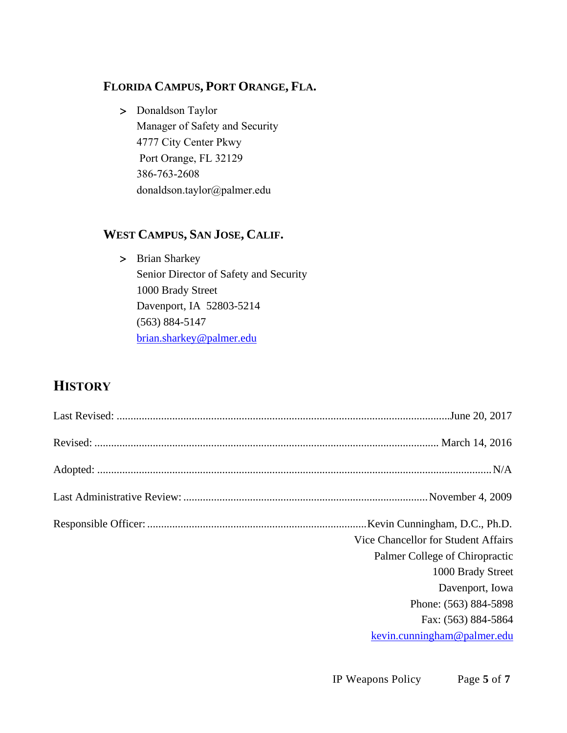#### **FLORIDA CAMPUS, PORT ORANGE, FLA.**

> Donaldson Taylor Manager of Safety and Security 4777 City Center Pkwy Port Orange, FL 32129 386-763-2608 [donaldson.taylor@palmer.e](mailto:brian.sharkey@palmer.edu)du

#### **WEST CAMPUS, SAN JOSE, CALIF.**

> Brian Sharkey Senior Director of Safety and Security 1000 Brady Street Davenport, IA 52803-5214 (563) 884-5147 [brian.sharkey@palmer.edu](mailto:brian.sharkey@palmer.edu)

## **HISTORY**

|  | Kevin Cunningham, D.C., Ph.D.       |
|--|-------------------------------------|
|  | Vice Chancellor for Student Affairs |
|  | Palmer College of Chiropractic      |
|  | 1000 Brady Street                   |
|  | Davenport, Iowa                     |
|  | Phone: (563) 884-5898               |
|  | Fax: (563) 884-5864                 |
|  | kevin.cunningham@palmer.edu         |